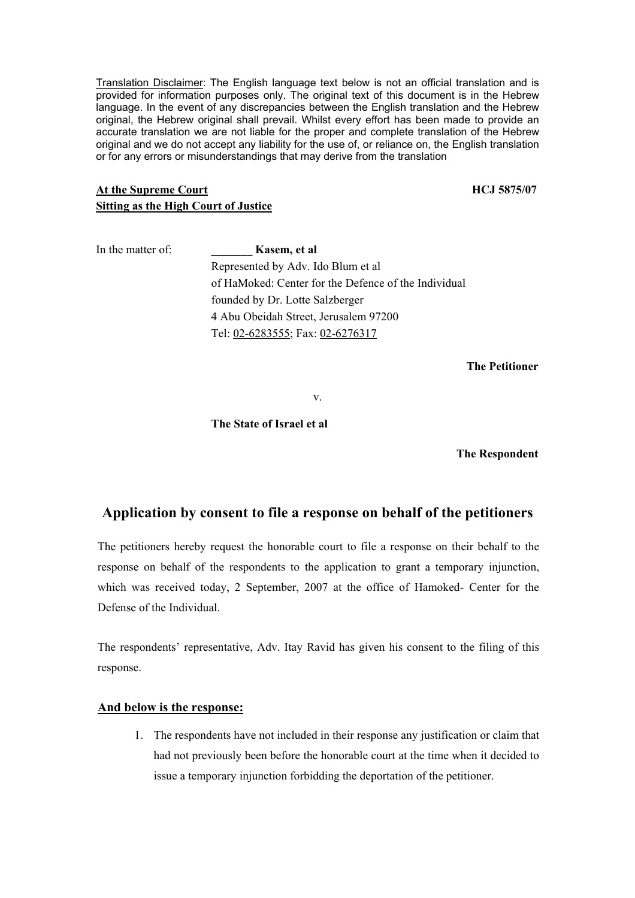Translation Disclaimer: The English language text below is not an official translation and is provided for information purposes only. The original text of this document is in the Hebrew language. In the event of any discrepancies between the English translation and the Hebrew original, the Hebrew original shall prevail. Whilst every effort has been made to provide an accurate translation we are not liable for the proper and complete translation of the Hebrew original and we do not accept any liability for the use of, or reliance on, the English translation or for any errors or misunderstandings that may derive from the translation

## At the Supreme Court **HCJ** 5875/07 **Sitting as the High Court of Justice**

| In the matter of: | Kasem, et al                                         |
|-------------------|------------------------------------------------------|
|                   | Represented by Adv. Ido Blum et al                   |
|                   | of HaMoked: Center for the Defence of the Individual |
|                   | founded by Dr. Lotte Salzberger                      |
|                   | 4 Abu Obeidah Street, Jerusalem 97200                |
|                   | Tel: 02-6283555; Fax: 02-6276317                     |

**The Petitioner**

v.

## **The State of Israel et al**

 **The Respondent** 

## **Application by consent to file a response on behalf of the petitioners**

The petitioners hereby request the honorable court to file a response on their behalf to the response on behalf of the respondents to the application to grant a temporary injunction, which was received today, 2 September, 2007 at the office of Hamoked- Center for the Defense of the Individual.

The respondents' representative, Adv. Itay Ravid has given his consent to the filing of this response.

## **And below is the response:**

1. The respondents have not included in their response any justification or claim that had not previously been before the honorable court at the time when it decided to issue a temporary injunction forbidding the deportation of the petitioner.